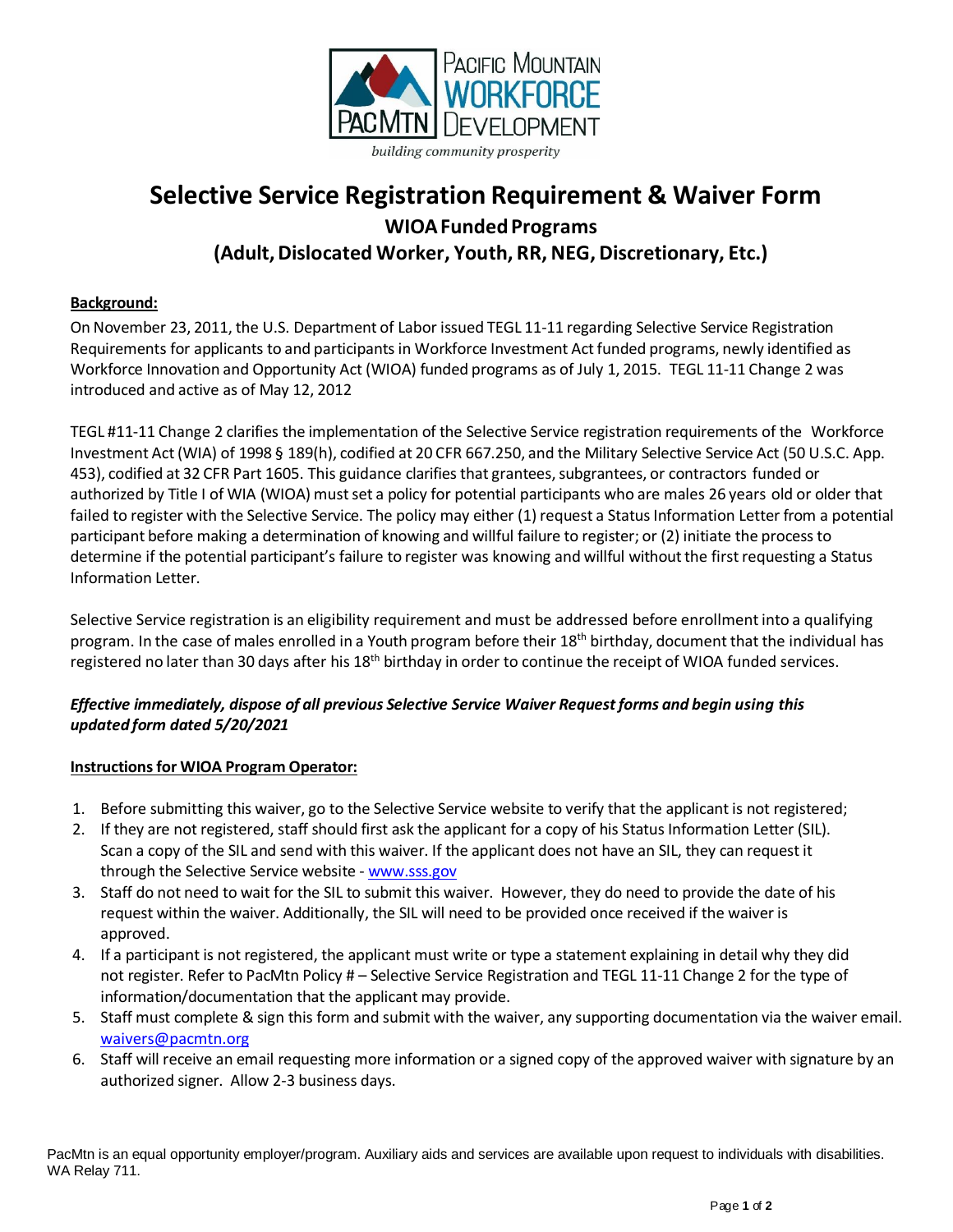

#### ding community prosperity

# **Selective Service Registration Requirement & Waiver Form WIOAFundedPrograms (Adult,Dislocated Worker, Youth, RR, NEG, Discretionary, Etc.)**

#### **Background:**

On November 23, 2011, the U.S. Department of Labor issued TEGL 11-11 regarding Selective Service Registration Requirements for applicants to and participants in Workforce Investment Act funded programs, newly identified as Workforce Innovation and Opportunity Act (WIOA) funded programs as of July 1, 2015. TEGL 11-11 Change 2 was introduced and active as of May 12, 2012

TEGL #11-11 Change 2 clarifies the implementation of the Selective Service registration requirements of the Workforce Investment Act(WIA) of 1998 § 189(h), codified at 20 CFR 667.250, and the Military Selective Service Act (50 U.S.C. App. 453), codified at 32 CFR Part 1605. This guidance clarifies that grantees, subgrantees, or contractors funded or authorized by Title I of WIA (WIOA) must set a policy for potential participants who are males 26 years old or older that failed to register with the Selective Service. The policy may either (1) request a Status Information Letter from a potential participant before making a determination of knowing and willful failure to register; or (2) initiate the processto determine if the potential participant's failure to register was knowing and willful without the first requesting a Status Information Letter.

Selective Service registration is an eligibility requirement and must be addressed before enrollment into a qualifying program. In the case of males enrolled in a Youth program before their 18<sup>th</sup> birthday, document that the individual has registered no later than 30 days after his 18<sup>th</sup> birthday in order to continue the receipt of WIOA funded services.

#### *Effective immediately, dispose of all previous Selective Service Waiver Request forms and begin using this updated form dated 5/20/2021*

### **Instructions for WIOA Program Operator:**

- 1. Before submitting this waiver, go to the Selective Service website to verify that the applicant is not registered;
- 2. If they are not registered, staff should first ask the applicant for a copy of his Status Information Letter (SIL). Scan a copy of the SIL and send with this waiver. If the applicant does not have an SIL, they can request it through the Selective Service website - [www.sss.gov](http://www.sss.gov/)
- 3. Staff do not need to wait for the SIL to submit this waiver. However, they do need to provide the date of his request within the waiver. Additionally, the SIL will need to be provided once received if the waiver is approved.
- 4. If a participant is not registered, the applicant must write or type a statement explaining in detail why they did not register. Refer to PacMtn Policy # – Selective Service Registration and TEGL 11-11 Change 2 for the type of information/documentation that the applicant may provide.
- 5. Staff must complete & sign this form and submit with the waiver, any supporting documentation via the waiver email. [waivers@pacmtn.org](mailto:waivers@pacmtn.org)
- 6. Staff will receive an email requesting more information or a signed copy of the approved waiver with signature by an authorized signer. Allow 2-3 business days.

PacMtn is an equal opportunity employer/program. Auxiliary aids and services are available upon request to individuals with disabilities. WA Relay 711.